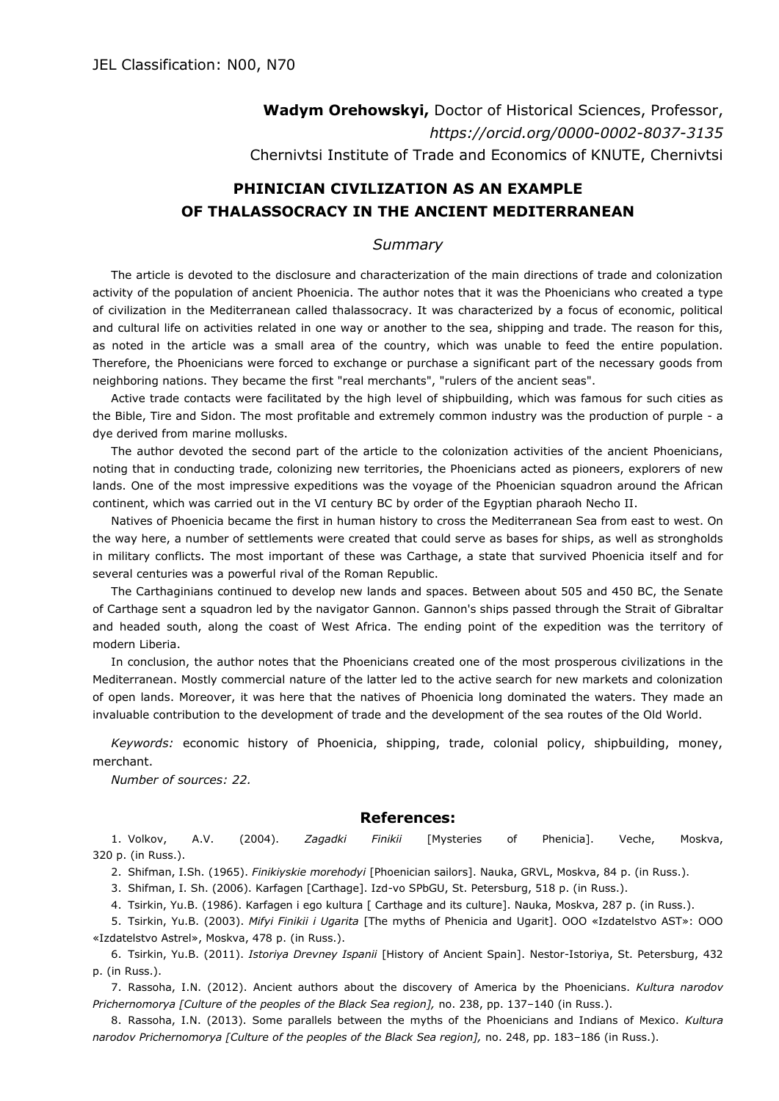**Wadym Orehowskyi,** Doctor of Historical Sciences, Professor, *https://orcid.org/0000-0002-8037-3135* Chernivtsi Institute of Trade and Economics of KNUTE, Chernivtsi

## **PHINICIAN CIVILIZATION AS AN EXAMPLE OF THALASSOCRACY IN THE ANCIENT MEDITERRANEAN**

## *Summary*

The article is devoted to the disclosure and characterization of the main directions of trade and colonization activity of the population of ancient Phoenicia. The author notes that it was the Phoenicians who created a type of civilization in the Mediterranean called thalassocracy. It was characterized by a focus of economic, political and cultural life on activities related in one way or another to the sea, shipping and trade. The reason for this, as noted in the article was a small area of the country, which was unable to feed the entire population. Therefore, the Phoenicians were forced to exchange or purchase a significant part of the necessary goods from neighboring nations. They became the first "real merchants", "rulers of the ancient seas".

Active trade contacts were facilitated by the high level of shipbuilding, which was famous for such cities as the Bible, Tire and Sidon. The most profitable and extremely common industry was the production of purple - a dye derived from marine mollusks.

The author devoted the second part of the article to the colonization activities of the ancient Phoenicians, noting that in conducting trade, colonizing new territories, the Phoenicians acted as pioneers, explorers of new lands. One of the most impressive expeditions was the voyage of the Phoenician squadron around the African continent, which was carried out in the VI century BC by order of the Egyptian pharaoh Necho II.

Natives of Phoenicia became the first in human history to cross the Mediterranean Sea from east to west. On the way here, a number of settlements were created that could serve as bases for ships, as well as strongholds in military conflicts. The most important of these was Carthage, a state that survived Phoenicia itself and for several centuries was a powerful rival of the Roman Republic.

The Carthaginians continued to develop new lands and spaces. Between about 505 and 450 BC, the Senate of Carthage sent a squadron led by the navigator Gannon. Gannon's ships passed through the Strait of Gibraltar and headed south, along the coast of West Africa. The ending point of the expedition was the territory of modern Liberia.

In conclusion, the author notes that the Phoenicians created one of the most prosperous civilizations in the Mediterranean. Mostly commercial nature of the latter led to the active search for new markets and colonization of open lands. Moreover, it was here that the natives of Phoenicia long dominated the waters. They made an invaluable contribution to the development of trade and the development of the sea routes of the Old World.

*Keywords:* economic history of Phoenicia, shipping, trade, colonial policy, shipbuilding, money, merchant.

*Number of sources: 22.*

## **References:**

1. Volkov, A.V. (2004). *Zagadki Finikii* [Mysteries of Phenicia]. Veche, Moskva, 320 p. (in Russ.).

2. Shifman, I.Sh. (1965). *Finikiyskie morehodyi* [Phoenician sailors]. Nauka, GRVL, Moskva, 84 p. (in Russ.).

3. Shifman, I. Sh. (2006). Karfagen [Carthage]. Izd-vo SPbGU, St. Petersburg, 518 p. (in Russ.).

4. Tsirkin, Yu.B. (1986). Karfagen i ego kultura [ Carthage and its culture]. Nauka, Moskva, 287 p. (in Russ.).

5. Tsirkin, Yu.B. (2003). *Mifyi Finikii i Ugarita* [The myths of Phenicia and Ugarit]. OOO «Izdatelstvo AST»: OOO «Izdatelstvo Astrel», Moskva, 478 p. (in Russ.).

6. Tsirkin, Yu.B. (2011). *Istoriya Drevney Ispanii* [History of Ancient Spain]. Nestor-Istoriya, St. Petersburg, 432 p. (in Russ.).

7. Rassoha, I.N. (2012). Ancient authors about the discovery of America by the Phoenicians. *Kultura narodov Prichernomorya [Culture of the peoples of the Black Sea region],* no. 238, pp. 137–140 (in Russ.).

8. Rassoha, I.N. (2013). Some parallels between the myths of the Phoenicians and Indians of Mexico. *Kultura narodov Prichernomorya [Culture of the peoples of the Black Sea region],* no. 248, pp. 183–186 (in Russ.).